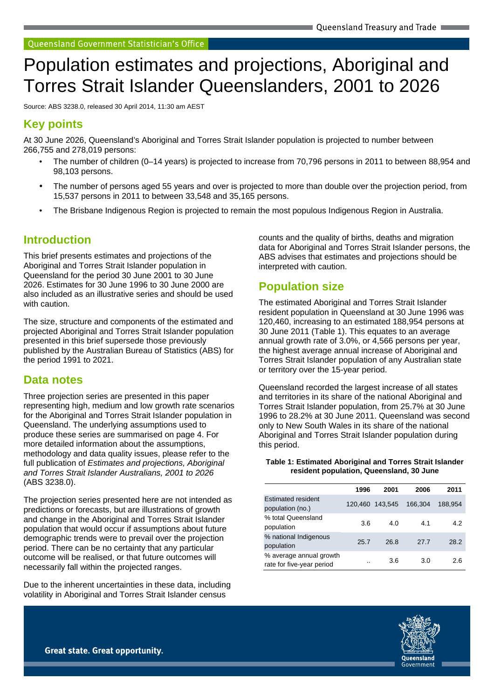# Population estimates and projections, Aboriginal and Torres Strait Islander Queenslanders, 2001 to 2026

Source: ABS 3238.0, released 30 April 2014, 11:30 am AEST

# **Key points**

At 30 June 2026, Queensland's Aboriginal and Torres Strait Islander population is projected to number between 266,755 and 278,019 persons:

- The number of children (0–14 years) is projected to increase from 70,796 persons in 2011 to between 88,954 and 98,103 persons.
- The number of persons aged 55 years and over is projected to more than double over the projection period, from 15,537 persons in 2011 to between 33,548 and 35,165 persons.
- The Brisbane Indigenous Region is projected to remain the most populous Indigenous Region in Australia.

# **Introduction**

This brief presents estimates and projections of the Aboriginal and Torres Strait Islander population in Queensland for the period 30 June 2001 to 30 June 2026. Estimates for 30 June 1996 to 30 June 2000 are also included as an illustrative series and should be used with caution.

The size, structure and components of the estimated and projected Aboriginal and Torres Strait Islander population presented in this brief supersede those previously published by the Australian Bureau of Statistics (ABS) for the period 1991 to 2021.

# **Data notes**

Three projection series are presented in this paper representing high, medium and low growth rate scenarios for the Aboriginal and Torres Strait Islander population in Queensland. The underlying assumptions used to produce these series are summarised on page 4. For more detailed information about the assumptions, methodology and data quality issues, please refer to the full publication of Estimates and projections, Aboriginal and Torres Strait Islander Australians, 2001 to 2026 (ABS 3238.0).

The projection series presented here are not intended as predictions or forecasts, but are illustrations of growth and change in the Aboriginal and Torres Strait Islander population that would occur if assumptions about future demographic trends were to prevail over the projection period. There can be no certainty that any particular outcome will be realised, or that future outcomes will necessarily fall within the projected ranges.

Due to the inherent uncertainties in these data, including volatility in Aboriginal and Torres Strait Islander census

counts and the quality of births, deaths and migration data for Aboriginal and Torres Strait Islander persons, the ABS advises that estimates and projections should be interpreted with caution.

# **Population size**

The estimated Aboriginal and Torres Strait Islander resident population in Queensland at 30 June 1996 was 120,460, increasing to an estimated 188,954 persons at 30 June 2011 (Table 1). This equates to an average annual growth rate of 3.0%, or 4,566 persons per year, the highest average annual increase of Aboriginal and Torres Strait Islander population of any Australian state or territory over the 15-year period.

Queensland recorded the largest increase of all states and territories in its share of the national Aboriginal and Torres Strait Islander population, from 25.7% at 30 June 1996 to 28.2% at 30 June 2011. Queensland was second only to New South Wales in its share of the national Aboriginal and Torres Strait Islander population during this period.

#### **Table 1: Estimated Aboriginal and Torres Strait Islander resident population, Queensland, 30 June**

|                                                      | 1996 | 2001            | 2006    | 2011    |
|------------------------------------------------------|------|-----------------|---------|---------|
| <b>Estimated resident</b><br>population (no.)        |      | 120.460 143.545 | 166.304 | 188.954 |
| % total Queensland<br>population                     | 3.6  | 4.0             | 4.1     | 4.2     |
| % national Indigenous<br>population                  | 25.7 | 26.8            | 27.7    | 28.2    |
| % average annual growth<br>rate for five-year period | . .  | 3.6             | 3.0     | 2.6     |

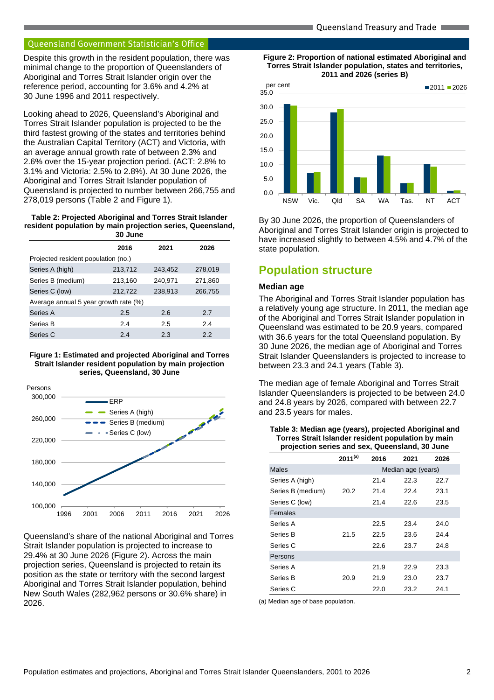Despite this growth in the resident population, there was minimal change to the proportion of Queenslanders of Aboriginal and Torres Strait Islander origin over the reference period, accounting for 3.6% and 4.2% at 30 June 1996 and 2011 respectively.

Looking ahead to 2026, Queensland's Aboriginal and Torres Strait Islander population is projected to be the third fastest growing of the states and territories behind the Australian Capital Territory (ACT) and Victoria, with an average annual growth rate of between 2.3% and 2.6% over the 15-year projection period. (ACT: 2.8% to 3.1% and Victoria: 2.5% to 2.8%). At 30 June 2026, the Aboriginal and Torres Strait Islander population of Queensland is projected to number between 266,755 and 278,019 persons (Table 2 and Figure 1).

**Table 2: Projected Aboriginal and Torres Strait Islander resident population by main projection series, Queensland, 30 June** 

|                                       | 2016    | 2021    | 2026    |
|---------------------------------------|---------|---------|---------|
| Projected resident population (no.)   |         |         |         |
| Series A (high)                       | 213,712 | 243,452 | 278,019 |
| Series B (medium)                     | 213,160 | 240,971 | 271,860 |
| Series C (low)                        | 212,722 | 238,913 | 266,755 |
| Average annual 5 year growth rate (%) |         |         |         |
| Series A                              | 2.5     | 2.6     | 2.7     |
| Series B                              | 2.4     | 2.5     | 2.4     |
| Series C                              | 2.4     | 2.3     | 2.2     |

#### **Figure 1: Estimated and projected Aboriginal and Torres Strait Islander resident population by main projection series, Queensland, 30 June**



Queensland's share of the national Aboriginal and Torres Strait Islander population is projected to increase to 29.4% at 30 June 2026 (Figure 2). Across the main projection series, Queensland is projected to retain its position as the state or territory with the second largest Aboriginal and Torres Strait Islander population, behind New South Wales (282,962 persons or 30.6% share) in 2026.





By 30 June 2026, the proportion of Queenslanders of Aboriginal and Torres Strait Islander origin is projected to have increased slightly to between 4.5% and 4.7% of the state population.

# **Population structure**

## **Median age**

The Aboriginal and Torres Strait Islander population has a relatively young age structure. In 2011, the median age of the Aboriginal and Torres Strait Islander population in Queensland was estimated to be 20.9 years, compared with 36.6 years for the total Queensland population. By 30 June 2026, the median age of Aboriginal and Torres Strait Islander Queenslanders is projected to increase to between 23.3 and 24.1 years (Table 3).

The median age of female Aboriginal and Torres Strait Islander Queenslanders is projected to be between 24.0 and 24.8 years by 2026, compared with between 22.7 and 23.5 years for males.

**Table 3: Median age (years), projected Aboriginal and Torres Strait Islander resident population by main projection series and sex, Queensland, 30 June** 

|                   | $2011^{(a)}$ | 2016 | 2021               | 2026 |
|-------------------|--------------|------|--------------------|------|
| <b>Males</b>      |              |      | Median age (years) |      |
| Series A (high)   |              | 21.4 | 22.3               | 22.7 |
| Series B (medium) | 20.2         | 21.4 | 22.4               | 23.1 |
| Series C (low)    |              | 21.4 | 22.6               | 23.5 |
| Females           |              |      |                    |      |
| Series A          |              | 22.5 | 23.4               | 24.0 |
| Series B          | 21.5         | 22.5 | 23.6               | 24.4 |
| Series C          |              | 22.6 | 23.7               | 24.8 |
| Persons           |              |      |                    |      |
| Series A          |              | 21.9 | 22.9               | 23.3 |
| Series B          | 20.9         | 21.9 | 23.0               | 23.7 |
| Series C          |              | 22.0 | 23.2               | 24.1 |

(a) Median age of base population.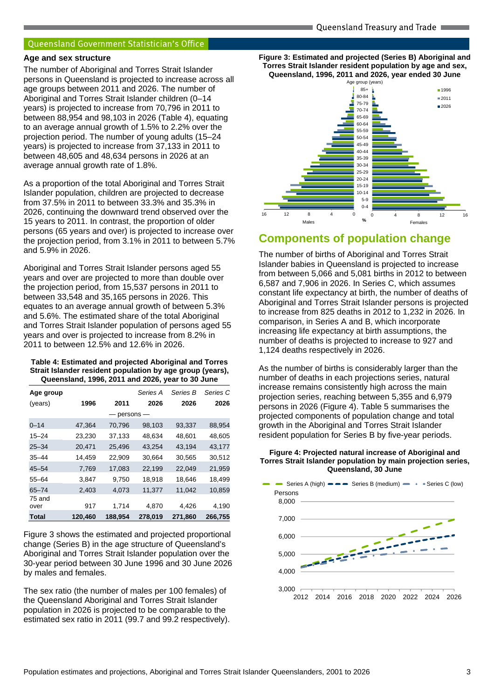#### **Age and sex structure**

The number of Aboriginal and Torres Strait Islander persons in Queensland is projected to increase across all age groups between 2011 and 2026. The number of Aboriginal and Torres Strait Islander children (0–14 years) is projected to increase from 70,796 in 2011 to between 88,954 and 98,103 in 2026 (Table 4), equating to an average annual growth of 1.5% to 2.2% over the projection period. The number of young adults (15–24 years) is projected to increase from 37,133 in 2011 to between 48,605 and 48,634 persons in 2026 at an average annual growth rate of 1.8%.

As a proportion of the total Aboriginal and Torres Strait Islander population, children are projected to decrease from 37.5% in 2011 to between 33.3% and 35.3% in 2026, continuing the downward trend observed over the 15 years to 2011. In contrast, the proportion of older persons (65 years and over) is projected to increase over the projection period, from 3.1% in 2011 to between 5.7% and 5.9% in 2026.

Aboriginal and Torres Strait Islander persons aged 55 years and over are projected to more than double over the projection period, from 15,537 persons in 2011 to between 33,548 and 35,165 persons in 2026. This equates to an average annual growth of between 5.3% and 5.6%. The estimated share of the total Aboriginal and Torres Strait Islander population of persons aged 55 years and over is projected to increase from 8.2% in 2011 to between 12.5% and 12.6% in 2026.

#### **Table 4: Estimated and projected Aboriginal and Torres Strait Islander resident population by age group (years), Queensland, 1996, 2011 and 2026, year to 30 June**

| Age group      |         |         | Series A  | Series B | Series C |
|----------------|---------|---------|-----------|----------|----------|
| (years)        | 1996    | 2011    | 2026      | 2026     | 2026     |
|                |         |         | persons - |          |          |
| $0 - 14$       | 47,364  | 70,796  | 98,103    | 93,337   | 88,954   |
| $15 - 24$      | 23,230  | 37,133  | 48,634    | 48,601   | 48,605   |
| $25 - 34$      | 20,471  | 25.496  | 43,254    | 43,194   | 43,177   |
| $35 - 44$      | 14,459  | 22,909  | 30,664    | 30,565   | 30,512   |
| $45 - 54$      | 7,769   | 17,083  | 22,199    | 22,049   | 21,959   |
| $55 - 64$      | 3,847   | 9,750   | 18,918    | 18,646   | 18,499   |
| $65 - 74$      | 2,403   | 4,073   | 11,377    | 11,042   | 10,859   |
| 75 and<br>over | 917     | 1,714   | 4,870     | 4,426    | 4,190    |
| Total          | 120,460 | 188,954 | 278,019   | 271,860  | 266,755  |

Figure 3 shows the estimated and projected proportional change (Series B) in the age structure of Queensland's Aboriginal and Torres Strait Islander population over the 30-year period between 30 June 1996 and 30 June 2026 by males and females.

The sex ratio (the number of males per 100 females) of the Queensland Aboriginal and Torres Strait Islander population in 2026 is projected to be comparable to the estimated sex ratio in 2011 (99.7 and 99.2 respectively). **Figure 3: Estimated and projected (Series B) Aboriginal and Torres Strait Islander resident population by age and sex, Queensland, 1996, 2011 and 2026, year ended 30 June**



# **Components of population change**

The number of births of Aboriginal and Torres Strait Islander babies in Queensland is projected to increase from between 5,066 and 5,081 births in 2012 to between 6,587 and 7,906 in 2026. In Series C, which assumes constant life expectancy at birth, the number of deaths of Aboriginal and Torres Strait Islander persons is projected to increase from 825 deaths in 2012 to 1,232 in 2026. In comparison, in Series A and B, which incorporate increasing life expectancy at birth assumptions, the number of deaths is projected to increase to 927 and 1,124 deaths respectively in 2026.

As the number of births is considerably larger than the number of deaths in each projections series, natural increase remains consistently high across the main projection series, reaching between 5,355 and 6,979 persons in 2026 (Figure 4). Table 5 summarises the projected components of population change and total growth in the Aboriginal and Torres Strait Islander resident population for Series B by five-year periods.



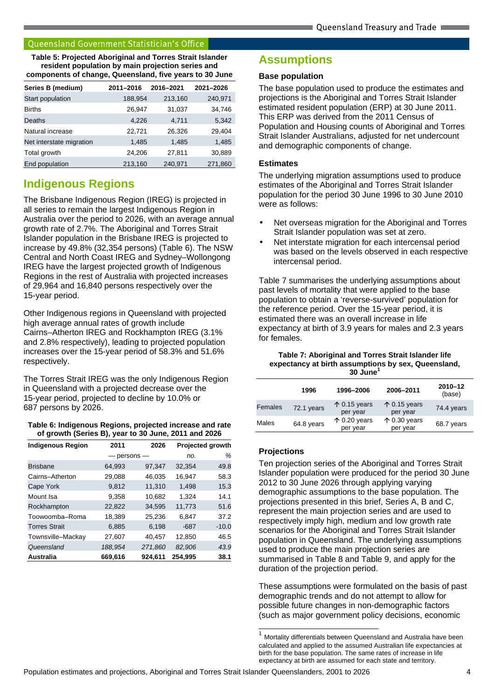**Table 5: Projected Aboriginal and Torres Strait Islander resident population by main projection series and components of change, Queensland, five years to 30 June** 

| Series B (medium)        | 2011-2016 | 2016-2021 | 2021-2026 |
|--------------------------|-----------|-----------|-----------|
| Start population         | 188,954   | 213,160   | 240,971   |
| <b>Births</b>            | 26,947    | 31,037    | 34,746    |
| Deaths                   | 4,226     | 4.711     | 5,342     |
| Natural increase         | 22,721    | 26,326    | 29,404    |
| Net interstate migration | 1,485     | 1,485     | 1,485     |
| Total growth             | 24,206    | 27,811    | 30,889    |
| End population           | 213,160   | 240,971   | 271,860   |

# **Indigenous Regions**

The Brisbane Indigenous Region (IREG) is projected in all series to remain the largest Indigenous Region in Australia over the period to 2026, with an average annual growth rate of 2.7%. The Aboriginal and Torres Strait Islander population in the Brisbane IREG is projected to increase by 49.8% (32,354 persons) (Table 6). The NSW Central and North Coast IREG and Sydney–Wollongong IREG have the largest projected growth of Indigenous Regions in the rest of Australia with projected increases of 29,964 and 16,840 persons respectively over the 15-year period.

Other Indigenous regions in Queensland with projected high average annual rates of growth include Cairns–Atherton IREG and Rockhampton IREG (3.1% and 2.8% respectively), leading to projected population increases over the 15-year period of 58.3% and 51.6% respectively.

The Torres Strait IREG was the only Indigenous Region in Queensland with a projected decrease over the 15-year period, projected to decline by 10.0% or 687 persons by 2026.

## **Table 6: Indigenous Regions, projected increase and rate of growth (Series B), year to 30 June, 2011 and 2026**

| <b>Indigenous Region</b> | 2011        | 2026    |         | <b>Projected growth</b> |
|--------------------------|-------------|---------|---------|-------------------------|
|                          | $persons -$ |         | no.     | %                       |
| <b>Brisbane</b>          | 64,993      | 97,347  | 32,354  | 49.8                    |
| Cairns-Atherton          | 29,088      | 46,035  | 16,947  | 58.3                    |
| Cape York                | 9.812       | 11,310  | 1.498   | 15.3                    |
| Mount Isa                | 9,358       | 10,682  | 1,324   | 14.1                    |
| Rockhampton              | 22,822      | 34,595  | 11,773  | 51.6                    |
| Toowoomba-Roma           | 18,389      | 25,236  | 6,847   | 37.2                    |
| <b>Torres Strait</b>     | 6.885       | 6.198   | $-687$  | $-10.0$                 |
| Townsville-Mackay        | 27.607      | 40.457  | 12,850  | 46.5                    |
| Queensland               | 188,954     | 271,860 | 82,906  | 43.9                    |
| Australia                | 669,616     | 924.611 | 254.995 | 38.1                    |

# **Assumptions**

## **Base population**

The base population used to produce the estimates and projections is the Aboriginal and Torres Strait Islander estimated resident population (ERP) at 30 June 2011. This ERP was derived from the 2011 Census of Population and Housing counts of Aboriginal and Torres Strait Islander Australians, adjusted for net undercount and demographic components of change.

## **Estimates**

The underlying migration assumptions used to produce estimates of the Aboriginal and Torres Strait Islander population for the period 30 June 1996 to 30 June 2010 were as follows:

- Net overseas migration for the Aboriginal and Torres Strait Islander population was set at zero.
- Net interstate migration for each intercensal period was based on the levels observed in each respective intercensal period.

Table 7 summarises the underlying assumptions about past levels of mortality that were applied to the base population to obtain a 'reverse-survived' population for the reference period. Over the 15-year period, it is estimated there was an overall increase in life expectancy at birth of 3.9 years for males and 2.3 years for females.

#### **Table 7: Aboriginal and Torres Strait Islander life expectancy at birth assumptions by sex, Queensland, 30 June<sup>1</sup>**

|         | 1996       | 1996-2006                         | 2006-2011                         | 2010-12<br>(base) |
|---------|------------|-----------------------------------|-----------------------------------|-------------------|
| Females | 72.1 years | $\uparrow$ 0.15 years<br>per year | $\uparrow$ 0.15 years<br>per year | 74.4 years        |
| Males   | 64.8 years | $\uparrow$ 0.20 years<br>per year | $\uparrow$ 0.30 years<br>per year | 68.7 years        |

## **Projections**

l

Ten projection series of the Aboriginal and Torres Strait Islander population were produced for the period 30 June 2012 to 30 June 2026 through applying varying demographic assumptions to the base population. The projections presented in this brief, Series A, B and C, represent the main projection series and are used to respectively imply high, medium and low growth rate scenarios for the Aboriginal and Torres Strait Islander population in Queensland. The underlying assumptions used to produce the main projection series are summarised in Table 8 and Table 9, and apply for the duration of the projection period.

These assumptions were formulated on the basis of past demographic trends and do not attempt to allow for possible future changes in non-demographic factors (such as major government policy decisions, economic

 $1$  Mortality differentials between Queensland and Australia have been calculated and applied to the assumed Australian life expectancies at birth for the base population. The same rates of increase in life expectancy at birth are assumed for each state and territory.